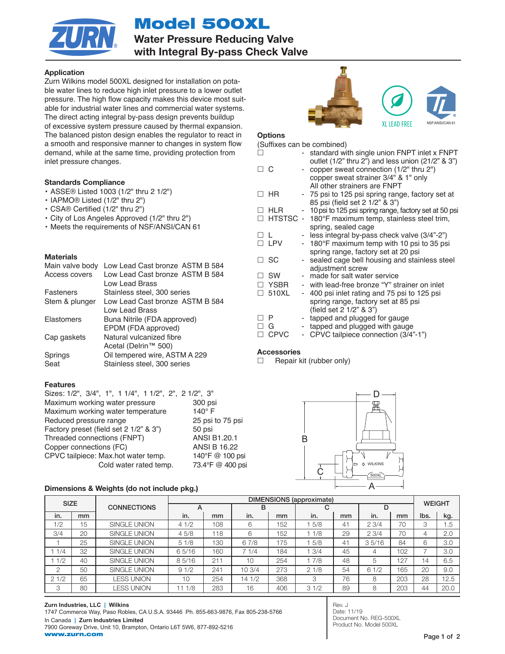Model 500XL



Water Pressure Reducing Valve with Integral By-pass Check Valve

# Application

Zurn Wilkins model 500XL designed for installation on potable water lines to reduce high inlet pressure to a lower outlet pressure. The high flow capacity makes this device most suitable for industrial water lines and commercial water systems. The direct acting integral by-pass design prevents buildup of excessive system pressure caused by thermal expansion. The balanced piston design enables the regulator to react in a smooth and responsive manner to changes in system flow demand, while at the same time, providing protection from inlet pressure changes.

# Standards Compliance

- ASSE® Listed 1003 (1/2" thru 2 1/2")
- IAPMO® Listed (1/2" thru 2")
- CSA® Certified (1/2" thru 2")
- City of Los Angeles Approved (1/2" thru 2")
- Meets the requirements of NSF/ANSI/CAN 61

# **Materials**

| Low Lead Cast bronze ASTM B 584 |
|---------------------------------|
| Low Lead Cast bronze ASTM B 584 |
| Low Lead Brass                  |
| Stainless steel, 300 series     |
| Low Lead Cast bronze ASTM B 584 |
| Low Lead Brass                  |
| Buna Nitrile (FDA approved)     |
| EPDM (FDA approved)             |
| Natural vulcanized fibre        |
| Acetal (Delrin™ 500)            |
| Oil tempered wire, ASTM A 229   |
| Stainless steel, 300 series     |
|                                 |

# Features

| Sizes: 1/2", 3/4", 1", 1 1/4", 1 1/2", 2", 2 1/2", 3" |                     |
|-------------------------------------------------------|---------------------|
| Maximum working water pressure                        | 300 psi             |
| Maximum working water temperature                     | $140^\circ$ F       |
| Reduced pressure range                                | 25 psi to 75 psi    |
| Factory preset (field set 2 1/2" & 3")                | 50 psi              |
| Threaded connections (FNPT)                           | ANSI B1.20.1        |
| Copper connections (FC)                               | <b>ANSI B 16.22</b> |
| CPVC tailpiece: Max.hot water temp.                   | 140°F @ 100 psi     |
| Cold water rated temp.                                | 73.4°F @ 400 psi    |

#### Dimensions & Weights (do not include pkg.)



# **Options**

| (Suffixes can be combined) |                                                                                                                 |                                                       |  |  |  |  |  |  |
|----------------------------|-----------------------------------------------------------------------------------------------------------------|-------------------------------------------------------|--|--|--|--|--|--|
|                            |                                                                                                                 | standard with single union FNPT inlet x FNPT          |  |  |  |  |  |  |
|                            |                                                                                                                 | outlet (1/2" thru 2") and less union (21/2" & 3")     |  |  |  |  |  |  |
|                            |                                                                                                                 | copper sweat connection (1/2" thru 2")                |  |  |  |  |  |  |
|                            |                                                                                                                 | copper sweat strainer 3/4" & 1" only                  |  |  |  |  |  |  |
|                            |                                                                                                                 | All other strainers are FNPT                          |  |  |  |  |  |  |
|                            |                                                                                                                 | - 75 psi to 125 psi spring range, factory set at      |  |  |  |  |  |  |
|                            |                                                                                                                 | 85 psi (field set 2 1/2" & 3")                        |  |  |  |  |  |  |
|                            |                                                                                                                 | 10 psi to 125 psi spring range, factory set at 50 psi |  |  |  |  |  |  |
|                            |                                                                                                                 | HTSTSC - 180°F maximum temp, stainless steel trim,    |  |  |  |  |  |  |
|                            |                                                                                                                 | spring, sealed cage                                   |  |  |  |  |  |  |
|                            |                                                                                                                 | - less integral by-pass check valve (3/4"-2")         |  |  |  |  |  |  |
|                            |                                                                                                                 | - 180°F maximum temp with 10 psi to 35 psi            |  |  |  |  |  |  |
|                            |                                                                                                                 | spring range, factory set at 20 psi                   |  |  |  |  |  |  |
|                            |                                                                                                                 | sealed cage bell housing and stainless steel          |  |  |  |  |  |  |
|                            |                                                                                                                 | adjustment screw                                      |  |  |  |  |  |  |
|                            |                                                                                                                 | made for salt water service                           |  |  |  |  |  |  |
|                            |                                                                                                                 | with lead-free bronze "Y" strainer on inlet           |  |  |  |  |  |  |
|                            | $\qquad \qquad \blacksquare$                                                                                    | 400 psi inlet rating and 75 psi to 125 psi            |  |  |  |  |  |  |
|                            |                                                                                                                 | spring range, factory set at 85 psi                   |  |  |  |  |  |  |
|                            |                                                                                                                 | (field set 2 1/2" & 3")                               |  |  |  |  |  |  |
|                            |                                                                                                                 | tapped and plugged for gauge                          |  |  |  |  |  |  |
|                            |                                                                                                                 | tapped and plugged with gauge                         |  |  |  |  |  |  |
|                            |                                                                                                                 | CPVC tailpiece connection (3/4"-1")                   |  |  |  |  |  |  |
|                            | ПС<br>$\Box$ HR<br><b>HLR</b><br>L<br>□ LPV<br>SC<br><b>SW</b><br><b>YSBR</b><br>510XL<br>P<br>G<br><b>CPVC</b> |                                                       |  |  |  |  |  |  |

# **Accessories**

 $\Box$  Repair kit (rubber only)



| <b>SIZE</b> |    |                    | <b>DIMENSIONS</b> (approximate) |     |        |     |      |    |       | <b>WEIGHT</b> |      |      |
|-------------|----|--------------------|---------------------------------|-----|--------|-----|------|----|-------|---------------|------|------|
|             |    | <b>CONNECTIONS</b> | $\mathsf{A}$                    |     | в      |     | C    |    |       |               |      |      |
| in.         | mm |                    | in.                             | mm  | in.    | mm  | in.  | mm | in.   | mm            | Ibs. | kg.  |
| 1/2         | 15 | SINGLE UNION       | 41/2                            | 108 | 6      | 152 | 5/8  | 41 | 23/4  | 70            | 3    | 1.5  |
| 3/4         | 20 | SINGLE UNION       | 45/8                            | 118 | 6      | 152 | 1/8  | 29 | 23/4  | 70            | 4    | 2.0  |
|             | 25 | SINGLE UNION       | 51/8                            | 130 | 67/8   | 175 | 5/8  | 41 | 35/16 | 84            | 6    | 3.0  |
| 1/4         | 32 | SINGLE UNION       | 65/16                           | 160 | 71/4   | 184 | 13/4 | 45 | 4     | 102           |      | 3.0  |
| 1/2         | 40 | SINGLE UNION       | 85/16                           | 211 | 10     | 254 | 7/8  | 48 | 5     | 127           | 14   | 6.5  |
| 2           | 50 | SINGLE UNION       | 91/2                            | 241 | 10 3/4 | 273 | 21/8 | 54 | 61/2  | 165           | 20   | 9.0  |
| 21/2        | 65 | <b>LESS UNION</b>  | 10                              | 254 | 14 1/2 | 368 | 3    | 76 | 8     | 203           | 28   | 12.5 |
| 3           | 80 | <b>LESS UNION</b>  | 1/8<br>11.                      | 283 | 16     | 406 | 31/2 | 89 | 8     | 203           | 44   | 20.0 |

Rev. J Date: 11/19 Document No. REG-500XL Product No. Model 500XL